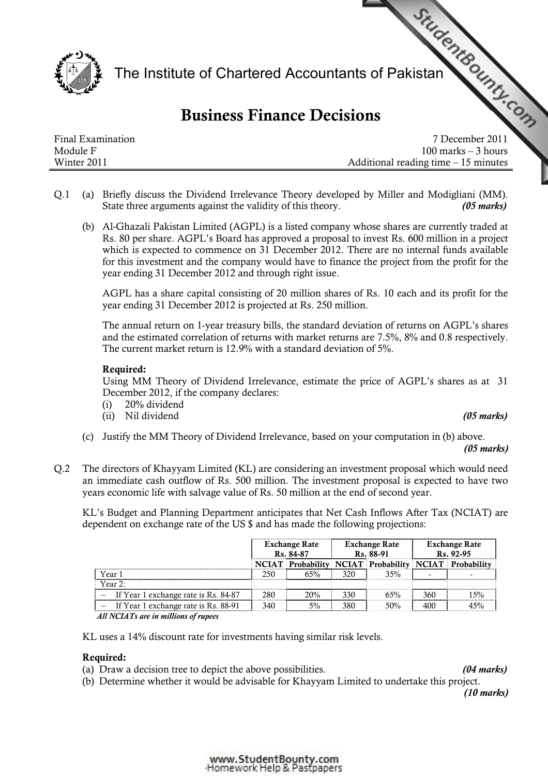

# Business Finance Decisions

|                   | The Institute of Chartered Accountants of Pakistan<br><b>Business Finance Decisions</b> |
|-------------------|-----------------------------------------------------------------------------------------|
| Final Examination | 7 December 2011                                                                         |
| Module F          | $100$ marks $-3$ hours                                                                  |
| Winter 2011       | Additional reading time $-15$ minutes                                                   |

- Q.1 (a) Briefly discuss the Dividend Irrelevance Theory developed by Miller and Modigliani (MM). State three arguments against the validity of this theory. (05 marks)
	- (b) Al-Ghazali Pakistan Limited (AGPL) is a listed company whose shares are currently traded at Rs. 80 per share. AGPL's Board has approved a proposal to invest Rs. 600 million in a project which is expected to commence on 31 December 2012. There are no internal funds available for this investment and the company would have to finance the project from the profit for the year ending 31 December 2012 and through right issue.

AGPL has a share capital consisting of 20 million shares of Rs. 10 each and its profit for the year ending 31 December 2012 is projected at Rs. 250 million.

The annual return on 1-year treasury bills, the standard deviation of returns on AGPL's shares and the estimated correlation of returns with market returns are 7.5%, 8% and 0.8 respectively. The current market return is 12.9% with a standard deviation of 5%.

### Required:

Using MM Theory of Dividend Irrelevance, estimate the price of AGPL's shares as at 31 December 2012, if the company declares:

- (i) 20% dividend
- (ii) Nil dividend (05 marks)

(c) Justify the MM Theory of Dividend Irrelevance, based on your computation in (b) above.

#### (05 marks)

Q.2 The directors of Khayyam Limited (KL) are considering an investment proposal which would need an immediate cash outflow of Rs. 500 million. The investment proposal is expected to have two years economic life with salvage value of Rs. 50 million at the end of second year.

KL's Budget and Planning Department anticipates that Net Cash Inflows After Tax (NCIAT) are dependent on exchange rate of the US \$ and has made the following projections:

|                                      | <b>Exchange Rate</b><br>Rs. 84-87 |     | <b>Exchange Rate</b><br>Rs. 88-91 |     | <b>Exchange Rate</b><br>Rs. 92-95 |                                                              |
|--------------------------------------|-----------------------------------|-----|-----------------------------------|-----|-----------------------------------|--------------------------------------------------------------|
|                                      |                                   |     |                                   |     |                                   | <b>NCIAT Probability NCIAT Probability NCIAT Probability</b> |
| Year 1                               | 250                               |     | 320                               | 35% |                                   |                                                              |
| Year $2^{\circ}$                     |                                   |     |                                   |     |                                   |                                                              |
| If Year 1 exchange rate is Rs. 84-87 | 280                               | 20% | 330                               | 65% | 360                               |                                                              |
| If Year 1 exchange rate is Rs. 88-91 | 340                               | 5%  | 380                               | 50% |                                   |                                                              |

All NCIATs are in millions of rupees

KL uses a 14% discount rate for investments having similar risk levels.

# Required:

(a) Draw a decision tree to depict the above possibilities. (04 marks)

(b) Determine whether it would be advisable for Khayyam Limited to undertake this project.

(10 marks)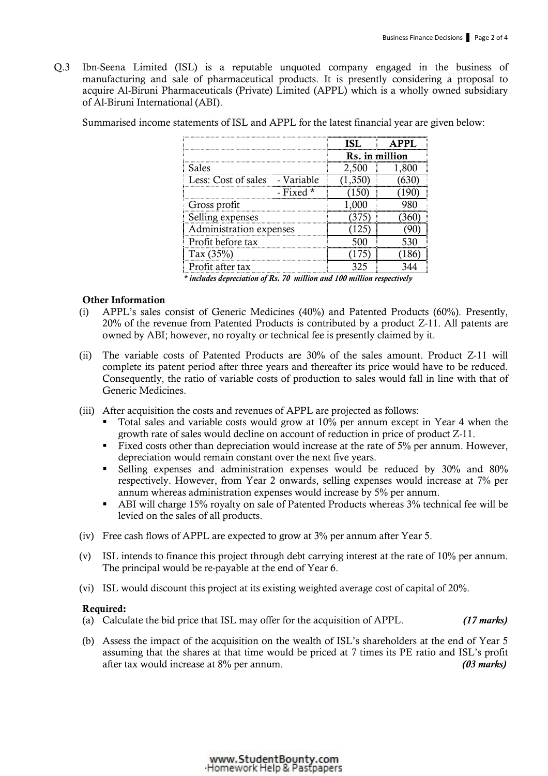Q.3 Ibn-Seena Limited (ISL) is a reputable unquoted company engaged in the business of manufacturing and sale of pharmaceutical products. It is presently considering a proposal to acquire Al-Biruni Pharmaceuticals (Private) Limited (APPL) which is a wholly owned subsidiary of Al-Biruni International (ABI).

Summarised income statements of ISL and APPL for the latest financial year are given below:

|                                |                | <b>PPI</b> |  |
|--------------------------------|----------------|------------|--|
|                                | Rs. in million |            |  |
| <b>Sales</b>                   | 2,500          | 1,800      |  |
| Less: Cost of sales - Variable |                |            |  |
| $\overline{ }$ Fixed *         |                |            |  |
| Gross profit                   |                |            |  |
| Selling expenses               |                |            |  |
| Administration expenses        |                |            |  |
| Profit before tax              |                |            |  |
| Tax $(35%)$                    |                |            |  |
| Profit after tax               |                |            |  |

\* includes depreciation of Rs. 70 million and 100 million respectively

### Other Information

- (i) APPL's sales consist of Generic Medicines (40%) and Patented Products (60%). Presently, 20% of the revenue from Patented Products is contributed by a product Z-11. All patents are owned by ABI; however, no royalty or technical fee is presently claimed by it.
- (ii) The variable costs of Patented Products are 30% of the sales amount. Product Z-11 will complete its patent period after three years and thereafter its price would have to be reduced. Consequently, the ratio of variable costs of production to sales would fall in line with that of Generic Medicines.
- (iii) After acquisition the costs and revenues of APPL are projected as follows:
	- Total sales and variable costs would grow at 10% per annum except in Year 4 when the growth rate of sales would decline on account of reduction in price of product Z-11.
	- Fixed costs other than depreciation would increase at the rate of 5% per annum. However, depreciation would remain constant over the next five years.
	- Selling expenses and administration expenses would be reduced by 30% and 80% respectively. However, from Year 2 onwards, selling expenses would increase at 7% per annum whereas administration expenses would increase by 5% per annum.
	- ABI will charge 15% royalty on sale of Patented Products whereas 3% technical fee will be levied on the sales of all products.
- (iv) Free cash flows of APPL are expected to grow at 3% per annum after Year 5.
- (v) ISL intends to finance this project through debt carrying interest at the rate of 10% per annum. The principal would be re-payable at the end of Year 6.
- (vi) ISL would discount this project at its existing weighted average cost of capital of 20%.

#### Required:

- (a) Calculate the bid price that ISL may offer for the acquisition of APPL.  $(17 \text{ marks})$
- (b) Assess the impact of the acquisition on the wealth of ISL's shareholders at the end of Year 5 assuming that the shares at that time would be priced at 7 times its PE ratio and ISL's profit after tax would increase at 8% per annum. (03 marks)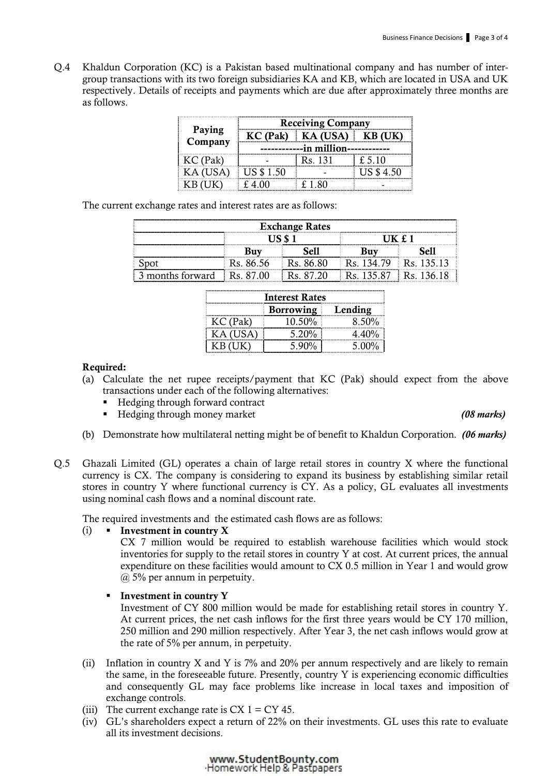Q.4 Khaldun Corporation (KC) is a Pakistan based multinational company and has number of intergroup transactions with its two foreign subsidiaries KA and KB, which are located in USA and UK respectively. Details of receipts and payments which are due after approximately three months are as follows.

|          | <b>Receiving Company</b> |                       |            |  |  |
|----------|--------------------------|-----------------------|------------|--|--|
| Paying   |                          | $KC$ (Pak) $KA$ (USA) | $K$ B      |  |  |
| Company  | --in million-----        |                       |            |  |  |
| KC (Pak) |                          | Rs. 131               | $f$ 5 10   |  |  |
|          | <b>US \$1.50</b>         |                       | US \$ 4.50 |  |  |
|          |                          | . 1.80                |            |  |  |

The current exchange rates and interest rates are as follows:

| <b>Exchange Rates</b>      |            |              |           |             |  |
|----------------------------|------------|--------------|-----------|-------------|--|
|                            |            |              |           |             |  |
|                            |            |              |           |             |  |
|                            | $Rs$ 86.56 | <b>Re</b> 86 | Re        | Re          |  |
| 3 months forward Rs. 87.00 |            | $Re$ $R7$    | Rs 135 87 | $Rs$ 136.1' |  |

| <b>Interest Rates</b> |          |       |  |  |
|-----------------------|----------|-------|--|--|
| Borrowing Lending     |          |       |  |  |
| KC (Pak)              | 10.50%   | 8.50% |  |  |
| KA (USA)              | $5.20\%$ | 4.40% |  |  |
|                       | $5.90\%$ | 5.00% |  |  |

### Required:

- (a) Calculate the net rupee receipts/payment that KC (Pak) should expect from the above transactions under each of the following alternatives:
	- Hedging through forward contract
	- Hedging through money market (08 marks) (08 marks)
- (b) Demonstrate how multilateral netting might be of benefit to Khaldun Corporation. (06 marks)
- Q.5 Ghazali Limited (GL) operates a chain of large retail stores in country X where the functional currency is CX. The company is considering to expand its business by establishing similar retail stores in country Y where functional currency is CY. As a policy, GL evaluates all investments using nominal cash flows and a nominal discount rate.

The required investments and the estimated cash flows are as follows:

# (i) **I**nvestment in country  $X$

CX 7 million would be required to establish warehouse facilities which would stock inventories for supply to the retail stores in country Y at cost. At current prices, the annual expenditure on these facilities would amount to CX 0.5 million in Year 1 and would grow @ 5% per annum in perpetuity.

- **Investment in country Y** Investment of CY 800 million would be made for establishing retail stores in country Y. At current prices, the net cash inflows for the first three years would be CY 170 million, 250 million and 290 million respectively. After Year 3, the net cash inflows would grow at the rate of 5% per annum, in perpetuity.
- (ii) Inflation in country X and Y is 7% and 20% per annum respectively and are likely to remain the same, in the foreseeable future. Presently, country Y is experiencing economic difficulties and consequently GL may face problems like increase in local taxes and imposition of exchange controls.
- (iii) The current exchange rate is  $CX 1 = CY 45$ .
- (iv) GL's shareholders expect a return of 22% on their investments. GL uses this rate to evaluate all its investment decisions.